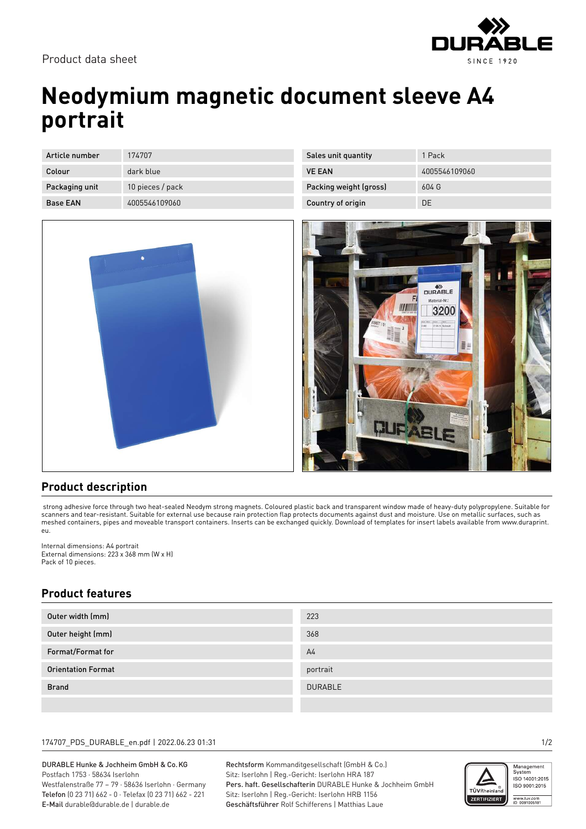

Product data sheet

# **Neodymium magnetic document sleeve A4 portrait**

| Article number  | 174707           |
|-----------------|------------------|
| Colour          | dark blue        |
| Packaging unit  | 10 pieces / pack |
| <b>Base FAN</b> | 4005546109060    |



| Sales unit quantity    | 1 Pack        |
|------------------------|---------------|
| <b>VE FAN</b>          | 4005546109060 |
| Packing weight (gross) | 604G          |
| Country of origin      | DF            |



## **Product description**

 strong adhesive force through two heat-sealed Neodym strong magnets. Coloured plastic back and transparent window made of heavy-duty polypropylene. Suitable for scanners and tear-resistant. Suitable for external use because rain protection flap protects documents against dust and moisture. Use on metallic surfaces, such as meshed containers, pipes and moveable transport containers. Inserts can be exchanged quickly. Download of templates for insert labels available from www.duraprint. eu.

Internal dimensions: A4 portrait External dimensions: 223 x 368 mm (W x H) Pack of 10 pieces.

## **Product features**

| Outer width (mm)          | 223            |
|---------------------------|----------------|
| Outer height (mm)         | 368            |
| Format/Format for         | A <sup>4</sup> |
| <b>Orientation Format</b> | portrait       |
| <b>Brand</b>              | <b>DURABLE</b> |
|                           |                |

### 174707\_PDS\_DURABLE\_en.pdf | 2022.06.23 01:31 1/2

DURABLE Hunke & Jochheim GmbH & Co.KG Postfach 1753 · 58634 Iserlohn Westfalenstraße 77 – 79 · 58636 Iserlohn · Germany Telefon (0 23 71) 662 - 0 · Telefax (0 23 71) 662 - 221 E-Mail durable@durable.de | durable.de

Rechtsform Kommanditgesellschaft (GmbH & Co.) Sitz: Iserlohn | Reg.-Gericht: Iserlohn HRA 187 Pers. haft. Gesellschafterin DURABLE Hunke & Jochheim GmbH Sitz: Iserlohn | Reg.-Gericht: Iserlohn HRB 1156 Geschäftsführer Rolf Schifferens | Matthias Laue